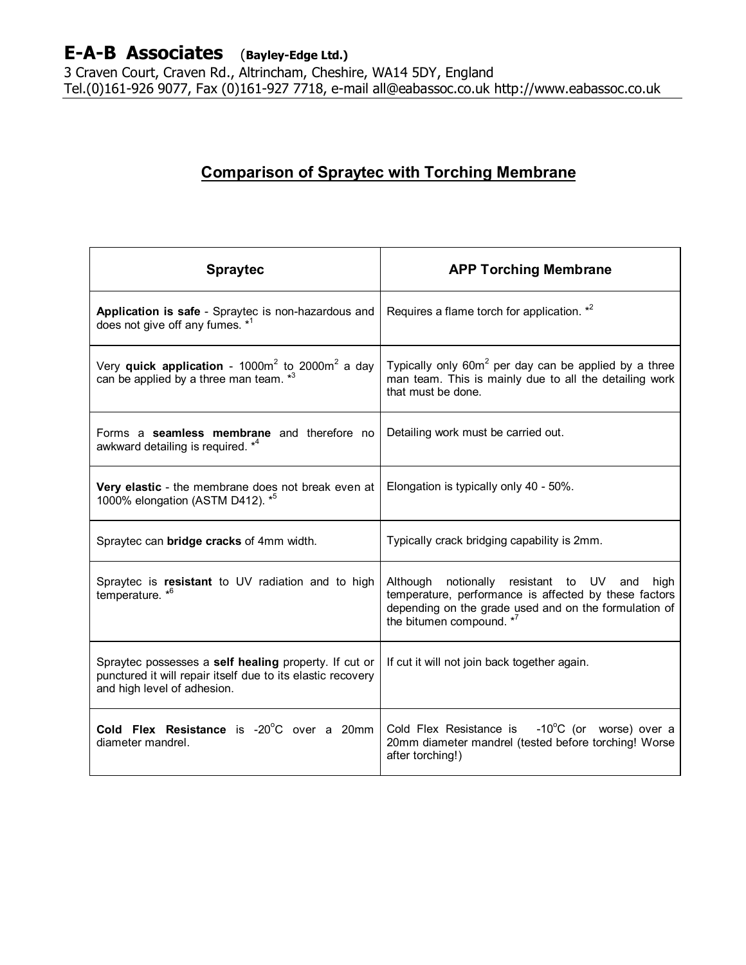3 Craven Court, Craven Rd., Altrincham, Cheshire, WA14 5DY, England Tel.(0)161-926 9077, Fax (0)161-927 7718, e-mail all@eabassoc.co.uk http://www.eabassoc.co.uk

## **Comparison of Spraytec with Torching Membrane**

| <b>Spraytec</b>                                                                                                                                     | <b>APP Torching Membrane</b>                                                                                                                                                                        |
|-----------------------------------------------------------------------------------------------------------------------------------------------------|-----------------------------------------------------------------------------------------------------------------------------------------------------------------------------------------------------|
| Application is safe - Spraytec is non-hazardous and<br>does not give off any fumes. *1                                                              | Requires a flame torch for application. *2                                                                                                                                                          |
| Very quick application - $1000m^2$ to $2000m^2$ a day<br>can be applied by a three man team. * <sup>3</sup>                                         | Typically only 60m <sup>2</sup> per day can be applied by a three<br>man team. This is mainly due to all the detailing work<br>that must be done.                                                   |
| Forms a seamless membrane and therefore no<br>awkward detailing is required. * <sup>4</sup>                                                         | Detailing work must be carried out.                                                                                                                                                                 |
| Very elastic - the membrane does not break even at<br>1000% elongation (ASTM D412). * <sup>5</sup>                                                  | Elongation is typically only 40 - 50%.                                                                                                                                                              |
| Spraytec can bridge cracks of 4mm width.                                                                                                            | Typically crack bridging capability is 2mm.                                                                                                                                                         |
| Spraytec is resistant to UV radiation and to high<br>temperature. $*^6$                                                                             | Although notionally resistant to UV<br>and<br>high<br>temperature, performance is affected by these factors<br>depending on the grade used and on the formulation of<br>the bitumen compound. $*^7$ |
| Spraytec possesses a self healing property. If cut or<br>punctured it will repair itself due to its elastic recovery<br>and high level of adhesion. | If cut it will not join back together again.                                                                                                                                                        |
| Cold Flex Resistance is -20°C over a 20mm<br>diameter mandrel.                                                                                      | Cold Flex Resistance is $-10^{\circ}$ C (or worse) over a<br>20mm diameter mandrel (tested before torching! Worse<br>after torching!)                                                               |